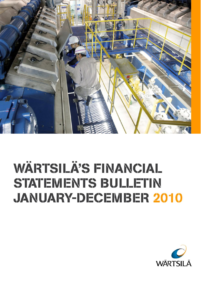

# **WÄRTSILÄ'S FINANCIAL STATEMENTS BULLETIN JANUARY-DECEMBER 2010**

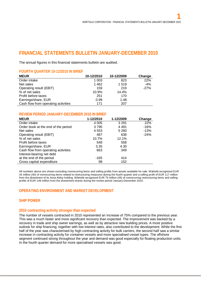# **FINANCIAL STATEMENTS BULLETIN JANUARY-DECEMBER 2010**

The annual figures in this financial statements bulletin are audited.

# **FOURTH QUARTER 10-12/2010 IN BRIEF**

| <b>MEUR</b>                         | 10-12/2010 | 10-12/2009 | Change |
|-------------------------------------|------------|------------|--------|
| Order intake                        | 1 0 0 3    | 823        | 22%    |
| Net sales                           | 1 4 6 2    | 1519       | $-4%$  |
| Operating result (EBIT)             | 159        | 219        | $-27%$ |
| % of net sales                      | 10.9%      | 14.4%      |        |
| Profit before taxes                 | 251        | 170        |        |
| Earnings/share, EUR                 | 0.99       | 1.48       |        |
| Cash flow from operating activities | 171        | 207        |        |

## **REVIEW PERIOD JANUARY-DECEMBER 2010 IN BRIEF**

| <b>MEUR</b>                         | 1-12/2010 | 1-12/2009 | Change |
|-------------------------------------|-----------|-----------|--------|
| Order intake                        | 4 0 0 5   | 3 2 9 1   | 22%    |
| Order book at the end of the period | 3795      | 4 4 9 1   | $-16%$ |
| Net sales                           | 4 5 5 3   | 5 2 6 0   | $-13%$ |
| Operating result (EBIT)             | 487       | 638       | $-24%$ |
| % of net sales                      | 10.7%     | 12.1%     |        |
| Profit before taxes                 | 548       | 558       |        |
| Earnings/share, EUR                 | 3.35      | 4.30      |        |
| Cash flow from operating activities | 663       | 349       |        |
| Interest-bearing net debt           |           |           |        |
| at the end of the period            | $-165$    | 414       |        |
| Gross capital expenditure           | 98        | 152       |        |

All numbers above are shown excluding nonrecurring items and selling profits from assets available for sale. Wärtsilä recognised EUR 16 million (40) of nonrecurring items related to restructuring measures during the fourth quarter and a selling profit of EUR 117 million from the divestment of its Assa Abloy holding. Wärtsilä recognised EUR 75 million (46) of nonrecurring restructuring items and selling profits of EUR 149 million from the divestment shares during the review period January-December 2010.

# **OPERATING ENVIRONMENT AND MARKET DEVELOPMENT**

# **SHIP POWER**

#### **2010 contracting activity stronger than expected**

The number of vessels contracted in 2010 represented an increase of 75% compared to the previous year. This was a much faster and more significant recovery than expected. The improvement was backed by a recovery in trade and ship owner earnings, as well as by attractive new building prices. A more positive outlook for ship financing, together with low interest rates, also contributed to the development. While the first half of the year was characterised by high contracting activity for bulk carriers, the second half saw a similar increase in contracting activity for container vessels and more specialised vessel types. The offshore segment continued strong throughout the year and demand was good especially for floating production units. In the fourth quarter demand for more specialised vessels was good.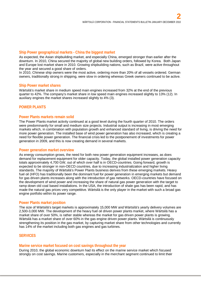## **Ship Power geographical markets - China the biggest market**

As expected, the Asian shipbuilding market, and especially China, emerged stronger than earlier after the downturn. In 2010, China secured the majority of global new building orders, followed by Korea. Both Japan and Europe lost market share in 2010. Growing shipbuilding nations, such as Brazil, were active throughout the year and secured a good share of orders.

In 2010, Chinese ship owners were the most active, ordering more than 20% of all vessels ordered. German owners, traditionally strong in shipping, were slow in ordering whereas Greek owners continued to be active.

#### **Ship Power market shares**

Wärtsilä's market share in medium speed main engines increased from 32% at the end of the previous quarter to 42%. The company's market share in low speed main engines increased slightly to 13% (12). In auxiliary engines the market shares increased slightly to 4% (3).

# **POWER PLANTS**

#### **Power Plants markets remain solid**

The Power Plants market activity continued at a good level during the fourth quarter of 2010. The orders were predominantly for small and medium size projects. Industrial output is increasing in most emerging markets which, in combination with population growth and enhanced standard of living, is driving the need for more power generation. The installed base of wind power generation has also increased, which is creating a need for flexible power generation. The financial crisis led to the postponement of investments for power generation in 2009, and this is now creating demand in several markets.

#### **Power generation market overview**

As energy consumption grows, the need for both new power generation equipment increases, as does demand for replacement equipment for older capacity. Today, the global installed power generation capacity totals approximately 4,700 GW, out of which over half is in OECD-countries. Going forward, growth is expected to be stronger in non-OECD countries, due to increasing industrialization and higher living standards. The majority of Wärtsilä's Power Plants business derives from these emerging markets. Heavy fuel oil (HFO) has traditionally been the dominant fuel for power generation in emerging markets but demand for gas driven plants increases along with the introduction of gas networks. OECD-countries have focused on the development of wind power and increasing the share of natural gas power generation with the target to ramp down old coal based installations. In the USA, the introduction of shale gas has been rapid, and has made the natural gas prices very competitive. Wärtsilä is the only player in the market with such a broad gas engine portfolio within its power range.

#### **Power Plants market position**

The size of Wärtsilä's target markets is approximately 15,000 MW and Wärtsilä's yearly delivery volumes are 2,500-3,000 MW. The development of the heavy fuel oil driven power plants market, where Wärtsilä has a market share of over 50%, is rather stable whereas the market for gas driven power plants is growing. Wärtsilä has a market share of over 60% in the gas engine driven power plants. Wärtsilä is continuously strengthening its position in the gas market, by capturing market share from other technologies and currently has 14% of the market including both gas engines and gas turbines.

## **SERVICES**

#### **Marine service market focused on cost savings throughout the year**

During 2010, the global economic downturn had its effect on the marine service market which focused strongly on cost savings. Marine customers, especially in the merchant segment continued to limit their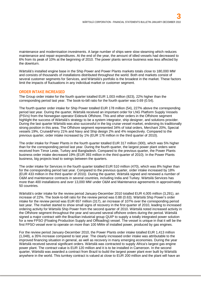maintenance and modernisation investments. A large number of ships were slow steaming which reduces maintenance and repair expenditures. At the end of the year, the amount of idled vessels had decreased to 6% from its peak of 10% at the beginning of 2010. The power plants service business was less affected by the downturn.

Wärtsilä's installed engine base in the Ship Power and Power Plants markets totals close to 180,000 MW and consists of thousands of installations distributed throughout the world. Both end markets consist of several customer segments for Services, and Wärtsilä's portfolio is the broadest in the market. These factors limit the impacts of fluctuations in any individual market or customer segment.

# **ORDER INTAKE INCREASED**

The Group order intake for the fourth quarter totalled EUR 1,003 million (823), 22% higher than the corresponding period last year. The book-to-bill ratio for the fourth quarter was 0.69 (0.54).

The fourth quarter order intake for Ship Power totalled EUR 178 million (54), 227% above the corresponding period last year. During the quarter, Wärtsilä received an important order for LNG Platform Supply Vessels (PSVs) from the Norwegian operator Eidesvik Offshore. This and other orders in the Offshore segment highlight the success of Wärtsilä's strategy to be a system integrator, ship designer, and solutions provider. During the last quarter Wärtsilä was also successful in the big cruise vessel market, endorsing its traditionally strong position in this area. The Offshore segment represented 34% of total orders, Merchant 20%, Special vessels 19%, Cruise&Ferry 21% and Navy and Ship design 2% and 4% respectively. Compared to the previous quarter, order intake increased by 1% (EUR 176 million in the third quarter of 2010).

The order intake for Power Plants in the fourth quarter totalled EUR 317 million (300), which was 5% higher than for the corresponding period last year. During the fourth quarter, the largest power plant orders were received from Timor Leste, Turkey and Bangladesh. Compared to the previous quarter, the Power Plants business order intake decreased 19% (EUR 393 million in the third quarter of 2010). In the Power Plants business, big projects lead to swings between the quarters.

The order intake for Services in the fourth quarter totalled EUR 510 million (470), which was 8% higher than for the corresponding period last year. Compared to the previous quarter, order intake increased by 18% (EUR 433 million in the third quarter of 2010*).* During the quarter, Wärtsilä signed and renewed a number of O&M and maintenance contracts in several countries, including India and Turkey. Wärtsilä Services has more than 400 installations and over 13,000 MW under O&M and Maintenance agreements in approximately 50 countries.

Wärtsilä's order intake for the review period January-December 2010 totalled EUR 4,005 million (3,291), an increase of 22%. The book-to-bill ratio for the review period was 0.88 (0.63). Wärtsilä Ship Power's order intake for the review period was EUR 657 million (317), an increase of 107% over the corresponding period last year. The market started to show small signs of recovery in the first quarter of 2010, leading to increased ordering activity for Wärtsilä Ship Power from the second quarter of 2010. Wärtsilä noted increased activity in the Offshore segment throughout the year and secured several offshore orders during the period. Wärtsilä signed a major contract with the Brazilian industrial group QUIP to supply a totally integrated power solution for a new FPSO (Floating Production Supply and Offloading) vessel. The vessel is unique in that it will be the first FPSO vessel ever to operate on more than 100 MWe of installed power, produced by gas engines.

For the review period January-December 2010, the Power Plants order intake totalled EUR 1,413 million (1,048), a 35% increase compared to last year. The clearly increased order intake was attributable to the improved financing situation in general, as well as recovery in many emerging economies. During the year Wärtsilä received several significant orders. Wärtsilä was contracted to supply Africa's largest gas engine power plant. The contract value is EUR 120 million and it is to be installed in Cameroon. In the second quarter, Wärtsilä was awarded a contract from Brazil to build the largest power plant ever built by Wärtsilä anywhere in the world. This turnkey contract is valued at close to EUR 200 million and the plant will have an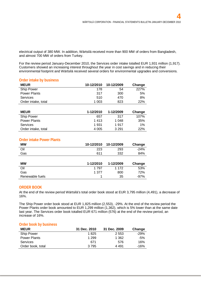electrical output of 380 MW. In addition, Wärtsilä received more than 900 MW of orders from Bangladesh, and almost 700 MW of orders from Turkey.

For the review period January-December 2010, the Services order intake totalled EUR 1,931 million (1,917). Customers showed an increasing interest throughout the year in cost savings and in reducing their environmental footprint and Wärtsilä received several orders for environmental upgrades and conversions.

#### **Order intake by business**

| <b>MEUR</b>         | 10-12/2010 | 10-12/2009 | Change |
|---------------------|------------|------------|--------|
| <b>Ship Power</b>   | 178        | 54         | 227%   |
| <b>Power Plants</b> | 317        | 300        | 5%     |
| <b>Services</b>     | 510        | 470        | 8%     |
| Order intake, total | 1 0 0 3    | 823        | 22%    |

| <b>MEUR</b>         | 1-12/2010 | 1-12/2009 | Change |
|---------------------|-----------|-----------|--------|
| Ship Power          | 657       | 317       | 107%   |
| <b>Power Plants</b> | 1413      | 1 0 4 8   | 35%    |
| <b>Services</b>     | 1 931     | 1917      | $1\%$  |
| Order intake, total | 4 0 0 5   | 3 2 9 1   | 22%    |

# **Order intake Power Plants**

| <b>MW</b> | 10-12/2010 | 10-12/2009 | Change |
|-----------|------------|------------|--------|
| Oil       | 223        | 293        | $-24%$ |
| Gas       | 611        | 332        | 84%    |
|           |            |            |        |
|           |            |            |        |
| <b>MW</b> | 1-12/2010  | 1-12/2009  | Change |
| Oil       | 1 7 9 7    | 1 1 7 2    | 53%    |
| Gas       | 1 377      | 800        | 72%    |

#### **ORDER BOOK**

At the end of the review period Wärtsilä's total order book stood at EUR 3,795 million (4,491), a decrease of 16%.

The Ship Power order book stood at EUR 1,825 million (2,553), -29%. At the end of the review period the Power Plants order book amounted to EUR 1,299 million (1,362), which is 5% lower than at the same date last year. The Services order book totalled EUR 671 million (576) at the end of the review period, an increase of 16%.

#### **Order book by business**

| <b>MEUR</b>         | 31 Dec. 2010 | 31 Dec. 2009 | Change |
|---------------------|--------------|--------------|--------|
| <b>Ship Power</b>   | 1825         | 2 5 5 3      | $-29%$ |
| <b>Power Plants</b> | 1 2 9 9      | 1 362        | $-5%$  |
| Services            | 671          | 576          | 16%    |
| Order book, total   | 3 7 9 5      | 4 4 9 1      | $-16%$ |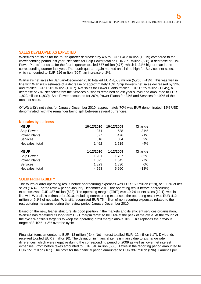## **SALES DEVELOPED AS EXPECTED**

Wärtsilä's net sales for the fourth quarter decreased by 4% to EUR 1,462 million (1,519) compared to the corresponding period last year. Net sales for Ship Power totalled EUR 371 million (538), a decrease of 31%. Power Plants' net sales for the fourth quarter totalled 577 million (476), which is 21% higher than in the corresponding quarter last year. The fourth quarter again marked an all time high for Services net sales, which amounted to EUR 516 million (504), an increase of 2%.

Wärtsilä's net sales for January-December 2010 totalled EUR 4,553 million (5,260), -13%. This was well in line with Wärtsilä's estimate of a decrease of approximately 15%. Ship Power's net sales decreased by 32% and totalled EUR 1,201 million (1,767). Net sales for Power Plants totalled EUR 1,525 million (1,645), a decrease of 7%. Net sales from the Services business remained at last year's level and amounted to EUR 1,823 million (1,830). Ship Power accounted for 26%, Power Plants for 34% and Services for 40% of the total net sales.

Of Wärtsilä's net sales for January-December 2010, approximately 70% was EUR denominated, 12% USD denominated, with the remainder being split between several currencies.

| <b>MEUR</b>         | 10-12/2010 | 10-12/2009 | Change |
|---------------------|------------|------------|--------|
| Ship Power          | 371        | 538        | $-31%$ |
| <b>Power Plants</b> | 577        | 476        | 21%    |
| Services            | 516        | 504        | 2%     |
| Net sales, total    | 1462       | 1519       | $-4%$  |
|                     |            |            |        |
| <b>MEUR</b>         | 1-12/2010  | 1-12/2009  | Change |
| Ship Power          | 1 201      | 1767       | $-32%$ |
| <b>Power Plants</b> | 1 5 2 5    | 1645       | $-7%$  |
| Services            | 1823       | 1830       | 0%     |
| Net sales, total    | 4 5 5 3    | 5 2 6 0    | $-13%$ |

#### **Net sales by business**

#### **SOLID PROFITABILITY**

The fourth quarter operating result before nonrecurring expenses was EUR 159 million (219), or 10.9% of net sales (14.4). For the review period January-December 2010, the operating result before nonrecurring expenses was EUR 487 million (638). The operating margin (EBIT) was 10.7% of net sales (12.1), well in line with Wärtsilä's estimate for 2010. Including nonrecurring expenses, the operating result was EUR 412 million or 9.1% of net sales. Wärtsilä recognised EUR 75 million of nonrecurring expenses related to the restructuring measures during the review period January-December 2010.

Based on the new, leaner structure, its good position in the markets and its efficient services organisation, Wärtsilä has redefined its long-term EBIT margin target to be 14% at the peak of the cycle. At the trough of the cycle Wärtsilä's target is to keep the operating profit margin above 10%. This replaces the previous target of 8-10% +/-2% over the cycle.

Financial items amounted to EUR -13 million (-34). Net interest totalled EUR -12 million (-17). Dividends received totalled EUR 7 million (6). The deviation in financial items is mainly due to exchange rate differences, which were negative during the corresponding period of 2009 as well as lower net interest expenses. Profit before taxes amounted to EUR 548 million (558). Taxes in the reporting period amounted to EUR 151 million (161). The profit for the financial period amounted to EUR 397 million (396). Earnings per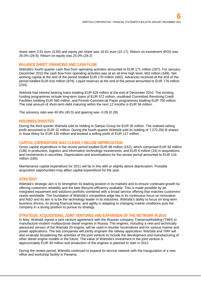share were 3.91 euro (3.94) and equity per share was 16.61 euro (15.17). Return on investment (ROI) was 26.0% (29.9). Return on equity was 25.0% (29.2)

#### **BALANCE SHEET, FINANCING AND CASH FLOW**

Wärtsilä's fourth quarter cash flow from operating activities amounted to EUR 171 million (207). For January-December 2010 the cash flow from operating activities was at an all time high level, 663 million (349). Net working capital at the end of the period totalled EUR 170 million (482). Advances received at the end of the period totalled EUR 616 million (879). Liquid reserves at the end of the period amounted to EUR 776 million (244).

Wärtsilä had interest bearing loans totalling EUR 628 million at the end of December 2010. The existing funding programmes include long-term loans of EUR 572 million, unutilised Committed Revolving Credit Facilities totalling EUR 560 million, and Finnish Commercial Paper programmes totalling EUR 700 million. The total amount of short-term debt maturing within the next 12 months is EUR 56 million.

The solvency ratio was 40.8% (40.0) and gearing was -0.09 (0.28).

#### **HOLDINGS DIVESTED**

During the third quarter Wärtsilä sold its holding in Sampo Group for EUR 35 million. The realised selling profit amounted to EUR 32 million. During the fourth quarter Wärtsilä sold its holding of 7,270,350 B shares in Assa Abloy for EUR 135 million and booked a selling profit of EUR 117 million.

#### **CAPITAL EXPENDITURE WAS CLEARLY BELOW DEPRECIATION**

Gross capital expenditure in the review period totalled EUR 98 million (152), which comprised EUR 92 million (136) in production, logistics and information technology investments, and EUR 6 million (16) in acquisitions and investments in securities. Depreciation and amortisations for the review period amounted to EUR 116 million (165).

Maintenance capital expenditure for 2011 will be in line with or slightly above depreciation. Possible acquisition opportunities may affect capital expenditure for the year.

#### **STRATEGY**

Wärtsilä's strategic aim is to strengthen its leading position in its markets and to ensure continued growth by offering customers reliability and the best lifecycle efficiency available. This is made possible by an integrated equipment and solutions portfolio combined with a broad service offering that matches customers' needs worldwide. The foundation of Wärtsilä's competitive edge lies in its continuous focus on innovation and R&D and its aim is to be the technology leader in its industries. Wärtsilä's ability to focus on long-term business drivers, its strong financial base, and agility in adapting to changing market conditions puts the company in a strong position to pursue its strategy.

#### **STRATEGIC ACQUISITIONS, JOINT VENTURES AND EXPANSION OF THE NETWORK IN 2010**

In May, Wärtsilä signed a joint venture agreement with the Russian company Transmashholding (TMH) to manufacture modern multipurpose diesel engines in Russia. The engines, including a new and technically advanced version of the Wärtsilä 20-engine, will be used in shunter locomotives and for various marine and power applications. The two companies will jointly engineer the railway application. Wärtsilä and TMH will also evaluate broadening the activities of the joint venture to include the development and manufacturing of other diesel engine models in the future. The value of Wärtsilä's investment in the joint venture is approximately EUR 30 million and production of the engines is planned to start in 2012.

During the review period, Wärtsilä continued to expand its service network with the inauguration of a new office and workshop facility in Panama.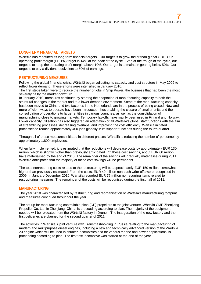# **LONG-TERM FINANCIAL TARGETS**

Wärtsilä has redefined its long-term financial targets. Our target is to grow faster than global GDP. Our operating profit margin (EBIT%) target is 14% at the peak of the cycle. Even at the trough of the cycle, our target is to keep the operating profit margin above 10%. Our target is to maintain gearing below 50%. Our target is to pay a dividend equivalent to 50% of earnings.

## **RESTRUCTURING MEASURES**

Following the global financial crisis, Wärtsilä began adjusting its capacity and cost structure in May 2009 to reflect lower demand. These efforts were intensified in January 2010.

The first steps taken were to reduce the number of jobs in Ship Power, the business that had been the most severely hit by the market downturn.

In January 2010, measures continued by starting the adaptation of manufacturing capacity to both the structural changes in the market and to a lower demand environment. Some of the manufacturing capacity has been moved to China and two factories in the Netherlands are in the process of being closed. New and more efficient ways to operate have been introduced, thus enabling the closure of smaller units and the consolidation of operations to larger entities in various countries, as well as the consolidation of manufacturing close to growing markets. Temporary lay-offs have mainly been used in Finland and Norway. Lower capacity utilisation has also triggered an adaptation of all Wärtsilä's global staff functions with the aim of streamlining processes, decreasing overlaps, and improving the cost efficiency. Wärtsilä initiated processes to reduce approximately 400 jobs globally in its support functions during the fourth quarter.

Through all of these measures initiated in different phases, Wärtsilä is reducing the number of personnel by approximately 1,800 employees.

When fully implemented, it is estimated that the reductions will decrease costs by approximately EUR 130 million, which is slightly higher than previously anticipated. Of these cost savings, about EUR 60 million have materialised by the end of 2010. The remainder of the savings will gradually materialise during 2011. Wärtsilä anticipates that the majority of these cost savings will be permanent.

The total nonrecurring costs related to the restructuring will be approximately EUR 150 million, somewhat higher than previously estimated. From the costs, EUR 40 million non-cash write-offs were recognised in 2009. In January-December 2010, Wärtsilä recorded EUR 75 million nonrecurring items related to restructuring measures. The remainder of the costs will be recognised during the first half of 2011.

#### **MANUFACTURING**

The year 2010 was characterised by restructuring and reorganisation of Wärtsilä's manufacturing footprint and measures continued throughout the year.

The set up for manufacturing controllable pitch (CP) propellers at the joint venture, Wärtsilä CME Zhenjiang Propeller Co. Ltd. in Zhenjiang, China, is proceeding according to plan. The majority of the equipment needed will be relocated from the Wärtsilä factory in Drunen, The inauguration of the new factory and the first deliveries are planned for the second quarter of 2011.

The activities in Wärtsilä's joint venture with Transmashholding in Russia relating to the manufacturing of modern and multipurpose diesel engines, including a new and technically advanced version of the Wärtsilä 20 engine which will be used in shunter locomotives and for various marine and power applications, is proceeding according to plan. The first test locomotive was started at the end of the year.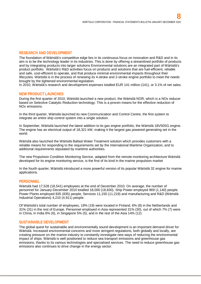## **RESEARCH AND DEVELOPMENT**

The foundation of Wärtsilä's competitive edge lies in its continuous focus on innovation and R&D and in its aim is to be the technology leader in its industries. This is done by offering a streamlined portfolio of products and by integrating products into larger solutions Environmental solutions are an integrated part of Wärtsilä's product portfolio. Wärtsilä's R&D activities focus on products and solutions that are fuel-efficient, reliable and safe, cost-efficient to operate, and that produce minimal environmental impacts throughout their lifecycles. Wärtsilä is in the process of renewing its 4-stroke and 2-stroke engine portfolio to meet the needs brought by the tightened environmental legislation.

In 2010, Wärtsilä's research and development expenses totalled EUR 141 million (141), or 3.1% of net sales.

#### **NEW PRODUCT LAUNCHES**

During the first quarter of 2010, Wärtsilä launched a new product, the Wärtsilä NOR, which is a NOx reducer based on Selective Catalytic Reduction technology. This is a proven means for the effective reduction of NOx emissions.

In the third quarter, Wärtsilä launched its new Communication and Control Centre, the first system to integrate an entire ship control system into a single solution.

In September, Wärtsilä launched the latest addition to its gas engine portfolio, the Wärtsilä 18V50SG engine. The engine has an electrical output of 18,321 kW, making it the largest gas powered generating set in the world.

Wärtsilä also launched the Wärtsilä Ballast Water Treatment solution which provides customers with a reliable means for responding to the requirements set by the International Maritime Organization, and to additional requirements stipulated by maritime authorities.

The new Propulsion Condition Monitoring Service, adapted from the remote monitoring architecture Wärtsilä developed for its engine monitoring service, is the first of its kind in the marine propulsion market

In the fourth quarter, Wärtsilä introduced a more powerful version of its popular Wärtsilä 32 engine for marine applications.

#### **PERSONNEL**

Wärtsilä had 17,528 (18,541) employees at the end of December 2010. On average, the number of personnel for January-December 2010 totalled 18,000 (18,830). Ship Power employed 969 (1,140) people. Power Plants employed 835 (835) people, Services 11,150 (11,219) and manufacturing and R&D (Wärtsilä Industrial Operations) 4,210 (4,911) people.

Of Wärtsilä's total number of employees, 19% (19) were located in Finland, 6% (8) in the Netherlands and 31% (31) in the rest of Europe. Personnel employed in Asia represented 31% (30), out of which 7% (7) were in China, in India 6% (6), in Singapore 5% (5), and in the rest of the Asia 14% (12)

#### **SUSTAINABLE DEVELOPMENT**

The global quest for sustainable and environmentally sound development is an important demand driver for Wärtsilä. Increased environmental concerns and more stringent regulations, both globally and locally, are creating pressure on the marine industry to constantly investigate new ways of reducing the environmental impact of ships. Wärtsilä is well positioned to reduce sea transport emissions and greenhouse gas emissions, thanks to its various technologies and specialised services. The need to reduce greenhouse gas emissions also continues to drive change in the energy sector.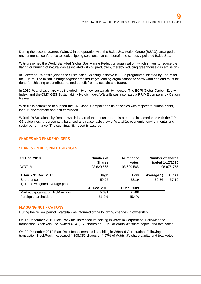During the second quarter, Wärtsilä in co-operation with the Baltic Sea Action Group (BSAG), arranged an environmental conference to seek shipping solutions that can benefit the seriously polluted Baltic Sea.

Wärtsilä joined the World Bank-led Global Gas Flaring Reduction organisation, which strives to reduce the flaring or burning of natural gas associated with oil production, thereby reducing greenhouse gas emissions.

In December, Wärtsilä joined the Sustainable Shipping Initiative (SSI), a programme initiated by Forum for the Future. The initiative brings together the industry's leading organisations to show what can and must be done for shipping to contribute to, and benefit from, a sustainable future.

In 2010, Wärtsilä's share was included in two new sustainability indexes: The ECPI Global Carbon Equity Index, and the OMX GES Sustainability Nordic index. Wärtsilä was also rated a PRIME company by Oekom Research.

Wärtsilä is committed to support the UN Global Compact and its principles with respect to human rights, labour, environment and anti-corruption.

Wärtsilä's Sustainability Report, which is part of the annual report, is prepared in accordance with the GRI G3 guidelines. It represents a balanced and reasonable view of Wärtsilä's economic, environmental and social performance. The sustainability report is assured.

## **SHARES AND SHAREHOLDERS**

#### **SHARES ON HELSINKI EXCHANGES**

| 31 Dec. 2010                       | Number of<br><b>Shares</b> | Number of<br>votes | Number of shares<br>traded 1-12/2010 |              |
|------------------------------------|----------------------------|--------------------|--------------------------------------|--------------|
| WRT <sub>1</sub> V                 | 98 620 565                 | 98 620 565         |                                      | 98 075 775   |
|                                    |                            |                    |                                      |              |
| 1 Jan. - 31 Dec. 2010              | High                       | Low                | Average 1)                           | <b>Close</b> |
| Share price                        | 59.25                      | 28.19              | 39.86                                | 57.10        |
| 1) Trade-weighted average price    |                            |                    |                                      |              |
|                                    | 31 Dec. 2010               | 31 Dec. 2009       |                                      |              |
| Market capitalisation, EUR million | 5 6 3 1                    | 2768               |                                      |              |
| Foreign shareholders               | 51.0%                      | 45.4%              |                                      |              |

#### **FLAGGING NOTIFICATIONS**

During the review period, Wärtsilä was informed of the following changes in ownership:

On 17 December 2010 BlackRock Inc. increased its holding in Wärtsilä Corporation. Following the transaction BlackRock Inc. owned 4,941,759 shares or 5.01% of Wärtsilä's share capital and total votes.

On 20 December 2010 BlackRock Inc. decreased its holding in Wärtsilä Corporation. Following the transaction BlackRock Inc. owned 4,898,350 shares or 4.97% of Wärtsilä's share capital and total votes.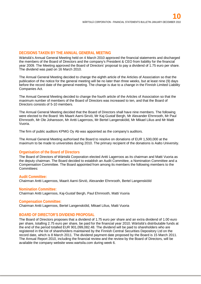## **DECISIONS TAKEN BY THE ANNUAL GENERAL MEETING**

Wärtsilä's Annual General Meeting held on 4 March 2010 approved the financial statements and discharged the members of the Board of Directors and the company's President & CEO from liability for the financial year 2009. The Meeting approved the Board of Directors' proposal to pay a dividend of 1.75 euro per share. The dividend was paid on 16 March 2010.

The Annual General Meeting decided to change the eighth article of the Articles of Association so that the publication of the notice for the general meeting will be no later than three weeks, but at least nine (9) days before the record date of the general meeting. The change is due to a change in the Finnish Limited Liability Companies Act.

The Annual General Meeting decided to change the fourth article of the Articles of Association so that the maximum number of members of the Board of Directors was increased to ten, and that the Board of Directors consists of 5-10 members.

The Annual General Meeting decided that the Board of Directors shall have nine members. The following were elected to the Board: Ms Maarit Aarni-Sirviö, Mr Kaj-Gustaf Bergh, Mr Alexander Ehrnrooth, Mr Paul Ehrnrooth, Mr Ole Johansson, Mr Antti Lagerroos, Mr Bertel Langenskiöld, Mr Mikael Lilius and Mr Matti Vuoria.

The firm of public auditors KPMG Oy Ab was appointed as the company's auditors.

The Annual General Meeting authorised the Board to resolve on donations of EUR 1,500,000 at the maximum to be made to universities during 2010. The primary recipient of the donations is Aalto University.

#### **Organisation of the Board of Directors**

The Board of Directors of Wärtsilä Corporation elected Antti Lagerroos as its chairman and Matti Vuoria as the deputy chairman. The Board decided to establish an Audit Committee, a Nomination Committee and a Compensation Committee. The Board appointed from among its members the following members to the Committees:

#### **Audit Committee:**

Chairman Antti Lagerroos, Maarit Aarni-Sirviö, Alexander Ehrnrooth, Bertel Langenskiöld

#### **Nomination Committee:**

Chairman Antti Lagerroos, Kaj-Gustaf Bergh, Paul Ehrnrooth, Matti Vuoria

#### **Compensation Committee:**

Chairman Antti Lagerroos, Bertel Langenskiöld, Mikael Lilius, Matti Vuoria

#### **BOARD OF DIRECTOR'S DIVIDEND PROPOSAL**

The Board of Directors proposes that a dividend of 1.75 euro per share and an extra dividend of 1.00 euro per share, totalling 2.75 euro per share, be paid for the financial year 2010. Wärtsilä's distributable funds at the end of the period totalled EUR 901,099,082.48. The dividend will be paid to shareholders who are registered in the list of shareholders maintained by the Finnish Central Securities Depository Ltd on the record date, which is 8 March 2011. The dividend payment date proposed by the Board is 15 March 2011. The Annual Report 2010, including the financial review and the review by the Board of Directors, will be available the company website www.wartsila.com during week 6.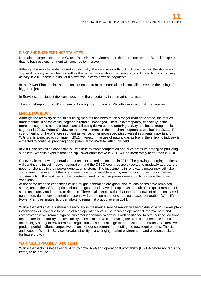#### **RISKS AND BUSINESS UNCERTAINTIES**

No major changes occurred in Wärtsilä's business environment in the fourth quarter and Wärtsilä expects that its business environment will continue to improve.

Although the risks have decreased substantially, the main risks within Ship Power remain the slippage of shipyard delivery schedules, as well as the risk of cancellation of existing orders. Due to high contracting activity in 2010, there is a risk of a slowdown in certain vessel segments.

In the Power Plant business, the consequences from the financial crisis can still be seen in the timing of bigger projects.

In Services, the biggest risk continues to be the uncertainty in the marine markets.

The annual report for 2010 contains a thorough description of Wärtsilä's risks and risk management.

#### **MARKET OUTLOOK**

Although the recovery of the shipbuilding markets has been much stronger than anticipated, the market fundamentals in some vessel segments remain unchanged. There is overcapacity, especially in the merchant segment, as order books are still being delivered and ordering activity has been strong in this segment in 2010. Wärtsilä's view on the developments in the merchant segment is cautious for 2011. The strengthening of the offshore segment as well as other more specialised vessel segments important for Wärtsilä, is expected to continue in 2011. Interest in the use of natural gas as fuel in the shipping industry is expected to continue, providing good potential for Wärtsilä within this field.

In 2011, the prevailing conditions will continue to affect competition and price pressure among shipbuilding suppliers. Wärtsilä expects that its Ship Power order intake in 2011 will be moderately better than in 2010.

Recovery in the power generation market is expected to continue in 2011. The growing emerging markets will continue to invest in power generation, and the OECD countries are expected to gradually address the need for changes in their power generation systems. The investments in renewable power may still take some time to recover, but the operational base of renewable energy, mainly wind power, has increased substantially in the past years. This creates a need for flexible power generation to manage the power variations.

At the same time the economics of natural gas generation are good. Natural gas prices have remained stable, and in the USA the prices of natural gas and oil have decoupled as a result of the quick ramp up of shale gas supply and moderate demand. There is also expectation that the ramp down of older coal based generation, due to environmental reasons, will create demand for clean, gas based generation. Wärtsilä Power Plants estimates its order intake to remain at a good level in 2011.

Wärtsilä expects that a sustainable recovery in the marine service market will begin during 2011. Power plant installations will continue to be run at high operating levels.The focus on operational improvement and competiveness will remain high on customers' agendas. Wärtsilä is well positioned to offer service solutions that ensure the reliability and availability of installations whilst reducing the overall maintenance spend. Increasingly stringent environmental regulations pose a challenge for our customers. Wärtsilä's extensive product portfolio offers competitive options for our customers for meeting the new requirements. The size and scope of Wärtsilä Services creates stability in a changing market environment, and provides a platform for future growth.

#### **WÄRTSILÄ'S PROSPECTS FOR 2011**

Wärtsilä expects its net sales for 2011 to grow 3-5% and operational profitability (EBIT% before nonrecurring items) to be around 11%.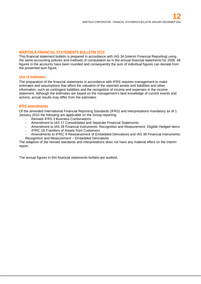## **WÄRTSILÄ FINANCIAL STATEMENTS BULLETIN 2010**

This financial statement bulletin is prepared in accordance with IAS 34 (Interim Financial Reporting) using the same accounting policies and methods of computation as in the annual financial statements for 2009. All figures in the accounts have been rounded and consequently the sum of individual figures can deviate from the presented sum figure.

#### **Use of estimates**

The preparation of the financial statements in accordance with IFRS requires management to make estimates and assumptions that affect the valuation of the reported assets and liabilities and other information, such as contingent liabilities and the recognition of income and expenses in the income statement. Although the estimates are based on the management's best knowledge of current events and actions, actual results may differ from the estimates.

## **IFRS amendments**

Of the amended International Financial Reporting Standards (IFRS) and interpretations mandatory as of 1 January 2010 the following are applicable on the Group reporting:

- Revised IFRS 3 Business Combinations
- Amendment to IAS 27 Consolidated and Separate Financial Statements
- Amendment to IAS 39 Financial Instruments: Recognition and Measurement: Eligible Hedged Items
- IFRIC 18 Transfers of Assets from Customers
- Amendments to IFRIC 9 Reassessment of Embedded Derivatives and IAS 39 Financial Instruments: Recognition and Measurement – Embedded Derivatives

The adaption of the revised standards and interpretations does not have any material effect on the interim report.

The annual figures in this financial statements bulletin are audited.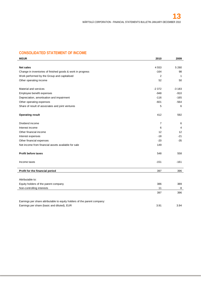# **CONSOLIDATED STATEMENT OF INCOME**

| <b>MEUR</b>                                                              | 2010           | 2009              |
|--------------------------------------------------------------------------|----------------|-------------------|
|                                                                          |                |                   |
| <b>Net sales</b>                                                         | 4553           | 5 2 6 0           |
| Change in inventories of finished goods & work in progress               | $-164$         | 98                |
| Work performed by the Group and capitalised                              | $\overline{2}$ | $\mathbf{1}$      |
| Other operating income                                                   | 52             | 50                |
| Material and services                                                    | $-2372$        | $-3183$           |
| Employee benefit expenses                                                | $-948$         | $-910$            |
| Depreciation, amortisation and impairment                                | $-116$         | $-165$            |
| Other operating expenses                                                 | $-601$         | $-564$            |
| Share of result of associates and joint ventures                         | 5              | 6                 |
| <b>Operating result</b>                                                  | 412            | 592               |
| Dividend income                                                          | $\overline{7}$ | 6                 |
| Interest income                                                          | 6              | 4                 |
| Other financial income                                                   | 12             | $12 \overline{ }$ |
| Interest expenses                                                        | $-18$          | $-21$             |
| Other financial expenses                                                 | $-20$          | $-35$             |
| Net income from financial assets available for sale                      | 149            |                   |
| <b>Profit before taxes</b>                                               | 548            | 558               |
| Income taxes                                                             | $-151$         | $-161$            |
| Profit for the financial period                                          | 397            | 396               |
| Attributable to:                                                         |                |                   |
| Equity holders of the parent company                                     | 386            | 389               |
| Non-controlling interests                                                | 11             | 8                 |
|                                                                          | 397            | 396               |
| Earnings per share attributable to equity holders of the parent company: |                |                   |
| Earnings per share (basic and diluted), EUR                              | 3.91           | 3.94              |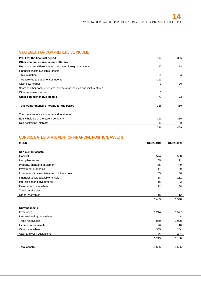## **STATEMENT OF COMPREHENSIVE INCOME**

| Profit for the financial period                                      | 397    | 396 |
|----------------------------------------------------------------------|--------|-----|
| Other comprehensive income after tax:                                |        |     |
| Exchange rate differences on translating foreign operations          | 17     | 18  |
| Financial assets available for sale                                  |        |     |
| fair valuation                                                       | 30     | 34  |
| transferred to statement of income                                   | $-110$ |     |
| Cash flow hedges                                                     | -9     | 20  |
| Share of other comprehensive income of associates and joint ventures |        | 1   |
| Other income/expenses                                                |        |     |
| Other comprehensive income                                           | $-71$  | 73  |
| Total comprehensive income for the period                            | 326    | 469 |
|                                                                      |        |     |
| Total comprehensive income attributable to:                          |        |     |
| Equity holders of the parent company                                 | 313    | 460 |
| Non-controlling interests                                            | 13     | 9   |
|                                                                      | 326    | 469 |

# **CONSOLIDATED STATEMENT OF FINANCIAL POSITION, ASSETS**

| <b>MEUR</b>                                  | 31.12.2010 | 31.12.2009      |
|----------------------------------------------|------------|-----------------|
|                                              |            |                 |
| Non-current assets                           |            |                 |
| Goodwill                                     | 574        | 558             |
| Intangible assets                            | 205        | 222             |
| Property, plant and equipment                | 455        | 449             |
| Investment properties                        | 11         | 9               |
| Investments in associates and joint ventures | 65         | 56              |
| Financial assets available for sale          | 18         | 151             |
| Interest-bearing investments                 | 16         | 2               |
| Deferred tax receivables                     | 122        | 88              |
| Trade receivables                            |            | 2               |
| Other receivables                            | 16         | 12 <sup>2</sup> |
|                                              | 1483       | 1548            |
|                                              |            |                 |
| <b>Current assets</b>                        |            |                 |
| Inventories                                  | 1 2 4 4    | 1577            |
| Interest-bearing receivables                 | 1          | $\overline{4}$  |
| Trade receivables                            | 860        | 1 0 2 8         |
| Income tax receivables                       | 26         | 10              |
| Other receivables                            | 305        | 244             |
| Cash and cash equivalents                    | 776        | 244             |
|                                              | 3 2 1 3    | 3 1 0 8         |
|                                              |            |                 |
| <b>Total assets</b>                          | 4696       | 4655            |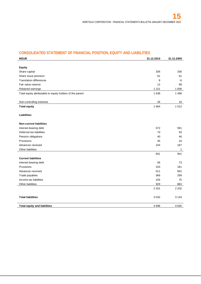# **CONSOLIDATED STATEMENT OF FINANCIAL POSITION, EQUITY AND LIABILITIES**

| <b>MEUR</b>                                               | 31.12.2010 | 31.12.2009   |
|-----------------------------------------------------------|------------|--------------|
|                                                           |            |              |
| <b>Equity</b>                                             |            |              |
| Share capital                                             | 336        | 336          |
| Share issue premium                                       | 61         | 61           |
| <b>Translation differences</b>                            | 8          | -6           |
| Fair value reserve                                        | 12         | 99           |
| Retained earnings                                         | 1 2 2 1    | 1 0 0 6      |
| Total equity attributable to equity holders of the parent | 1638       | 1496         |
|                                                           |            |              |
| Non-controlling interests                                 | 26         | 16           |
| <b>Total equity</b>                                       | 1664       | 1512         |
| <b>Liabilities</b>                                        |            |              |
| <b>Non-current liabilities</b>                            |            |              |
| Interest-bearing debt                                     | 572        | 591          |
| Deferred tax liabilities                                  | 70         | 93           |
| Pension obligations                                       | 40         | 46           |
| Provisions                                                | 45         | 24           |
| Advances received                                         | 104        | 187          |
| Other liabilities                                         |            | $\mathbf{1}$ |
|                                                           | 831        | 941          |
| <b>Current liabilities</b>                                |            |              |
| Interest-bearing debt                                     | 56         | 73           |
| Provisions                                                | 233        | 181          |
| Advances received                                         | 511        | 691          |
| Trade payables                                            | 366        | 299          |
| Income tax liabilities                                    | 105        | 75           |
| Other liabilities                                         | 929        | 883          |
|                                                           | 2 2 0 1    | 2 2 0 2      |
| <b>Total liabilities</b>                                  | 3032       | 3 1 4 3      |
| <b>Total equity and liabilities</b>                       | 4696       | 4655         |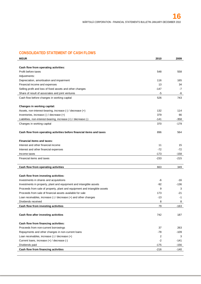# **CONSOLIDATED STATEMENT OF CASH FLOWS**

| <b>MEUR</b>                                                               | 2010   | 2009   |
|---------------------------------------------------------------------------|--------|--------|
|                                                                           |        |        |
| Cash flow from operating activities:                                      |        |        |
| Profit before taxes                                                       | 548    | 558    |
| Adjustments:                                                              |        |        |
| Depreciation, amortisation and impairment                                 | 116    | 165    |
| Financial income and expenses                                             | 13     | 34     |
| Selling profit and loss of fixed assets and other changes                 | -147   | -7     |
| Share of result of associates and joint ventures                          | -5     | -6     |
| Cash flow before changes in working capital                               | 526    | 743    |
|                                                                           |        |        |
| Changes in working capital:                                               |        |        |
| Assets, non-interest-bearing, increase (-) / decrease (+)                 | 132    | 114    |
| Inventories, increase (-) / decrease (+)                                  | 379    | 66     |
| Liabilities, non-interest-bearing, increase (+) / decrease (-)            | $-141$ | $-358$ |
| Changes in working capital                                                | 370    | $-179$ |
|                                                                           |        |        |
| Cash flow from operating activities before financial items and taxes      | 896    | 564    |
|                                                                           |        |        |
| <b>Financial items and taxes:</b>                                         |        |        |
| Interest and other financial income                                       | 11     | 15     |
| Interest and other financial expenses                                     | $-72$  | $-72$  |
| Income taxes                                                              | $-173$ | -158   |
| Financial items and taxes                                                 | -233   | -215   |
|                                                                           |        |        |
| Cash flow from operating activities                                       | 663    | 349    |
|                                                                           |        |        |
| Cash flow from investing activities:                                      |        |        |
| Investments in shares and acquisitions                                    | -6     | -16    |
| Investments in property, plant and equipment and intangible assets        | -92    | -136   |
| Proceeds from sale of property, plant and equipment and intangible assets | 9      | 3      |
| Proceeds from sale of financial assets available for sale                 | 173    | -21    |
| Loan receivables, increase $(-)$ / decrease $(+)$ and other changes       | -13    | $-1$   |
| Dividends received                                                        | 8      | 8      |
| Cash flow from investing activities                                       | 79     | $-163$ |
|                                                                           |        |        |
| Cash flow after investing activities                                      | 742    | 187    |
|                                                                           |        |        |
| Cash flow from financing activities:                                      |        |        |
| Proceeds from non-current borrowings                                      | 37     | 263    |
| Repayments and other changes in non-current loans                         | -78    | -109   |
| Loan receivables, increase $(\cdot)$ / decrease $(\cdot)$                 | 2      | 3      |
| Current loans, increase (+) / decrease (-)                                | $-2$   | -141   |
| Dividends paid                                                            | $-175$ | $-156$ |
| Cash flow from financing activities                                       |        |        |
|                                                                           | $-216$ | $-140$ |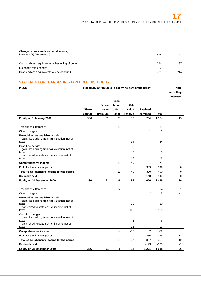| Change in cash and cash equivalents,             |     |     |
|--------------------------------------------------|-----|-----|
| increase $(+)$ / decrease $(-)$                  | 525 | -47 |
|                                                  |     |     |
| Cash and cash equivalents at beginning of period | 244 | 197 |
| Exchange rate changes                            |     |     |
| Cash and cash equivalents at end of period       | 776 | 244 |

# **STATEMENT OF CHANGES IN SHAREHOLDERS' EQUITY**

| <b>MEUR</b>                                                                                     | Total equity attributable to equity holders of the parent |              |         | Non-<br>controlling |                |                |                  |
|-------------------------------------------------------------------------------------------------|-----------------------------------------------------------|--------------|---------|---------------------|----------------|----------------|------------------|
|                                                                                                 |                                                           |              | Trans-  |                     |                |                | <b>Interests</b> |
|                                                                                                 |                                                           | <b>Share</b> | lation  | Fair                |                |                |                  |
|                                                                                                 | <b>Share</b>                                              | issue        | differ- | value               | Retained       |                |                  |
|                                                                                                 | capital                                                   | premium      | ence    | reserve             | earnings       | <b>Total</b>   |                  |
| Equity on 1 January 2009                                                                        | 336                                                       | 61           | $-27$   | 50                  | 764            | 1 1 8 4        | 15               |
| <b>Translation differences</b>                                                                  |                                                           |              | 21      |                     |                | 21             |                  |
| Other changes                                                                                   |                                                           |              |         |                     | 1              | 1              |                  |
| Financial assets available for sale<br>gain / loss arising from fair valuation, net of<br>taxes |                                                           |              |         | 34                  |                | 34             |                  |
| Cash flow hedges<br>gain / loss arising from fair valuation, net of<br>taxes                    |                                                           |              |         | 3                   |                | 3              |                  |
| transferred to statement of income, net of<br>taxes                                             |                                                           |              |         | 12                  |                | 12             | 2                |
| <b>Comprehensive income</b>                                                                     |                                                           |              | 21      | 49                  | $\mathbf{1}$   | 71             | $\mathbf{1}$     |
| Profit for the financial period                                                                 |                                                           |              |         |                     | 389            | 389            | 8                |
| Total comprehensive income for the period                                                       |                                                           |              | 21      | 49                  | 390            | 460            | 9                |
| Dividends paid                                                                                  |                                                           |              |         |                     | $-148$         | $-148$         | -8               |
| Equity on 31 December 2009                                                                      | 336                                                       | 61           | -6      | 99                  | 1 006          | 1496           | 16               |
| <b>Translation differences</b>                                                                  |                                                           |              | 14      |                     |                | 14             | $\mathbf{1}$     |
| Other changes                                                                                   |                                                           |              |         |                     | $\overline{2}$ | $\overline{2}$ | $-1$             |
| Financial assets available for sale<br>gain / loss arising from fair valuation, net of          |                                                           |              |         |                     |                |                |                  |
| taxes<br>transferred to statement of income, net of<br>taxes                                    |                                                           |              |         | 30<br>$-110$        |                | 30<br>$-110$   |                  |
| Cash flow hedges<br>gain / loss arising from fair valuation, net of                             |                                                           |              |         |                     |                |                |                  |
| taxes<br>transferred to statement of income, net of                                             |                                                           |              |         | 6<br>$-13$          |                | 6<br>$-13$     |                  |
| taxes<br><b>Comprehensive income</b>                                                            |                                                           |              | 14      | $-87$               | $\overline{2}$ | $-72$          | $\mathbf{1}$     |
| Profit for the financial period                                                                 |                                                           |              |         |                     | 386            | 386            | 11               |
|                                                                                                 |                                                           |              | 14      | $-87$               | 387            | 314            | 12               |
| Total comprehensive income for the period<br>Dividends paid                                     |                                                           |              |         |                     | $-173$         | $-173$         | $-2$             |
|                                                                                                 | 336                                                       | 61           | 8       | 12                  | 1 2 2 1        | 1638           | 26               |
| Equity on 31 December 2010                                                                      |                                                           |              |         |                     |                |                |                  |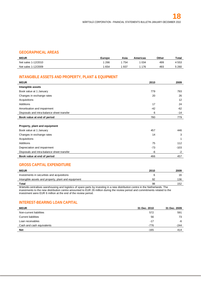# **GEOGRAPHICAL AREAS**

| <b>MEUR</b>         | <b>Europe</b> | Asia | Americas | Other | Total   |
|---------------------|---------------|------|----------|-------|---------|
| Net sales 1-12/2010 | 266           | 754  | 034      | 499   | 4553    |
| Net sales 1-12/2009 | 654           | 937  | 176      | 493   | 5 2 6 0 |

# **INTANGIBLE ASSETS AND PROPERTY, PLANT & EQUIPMENT**

| <b>MEUR</b>                                | 2010 | 2009  |
|--------------------------------------------|------|-------|
| Intangible assets                          |      |       |
| Book value at 1 January                    | 779  | 793   |
| Changes in exchange rates                  | 20   | 26    |
| Acquisitions                               |      | 12    |
| Additions                                  | 17   | 24    |
| Amortisation and impairment                | -42  | -62   |
| Disposals and intra-balance sheet transfer | 6    | $-14$ |
| Book value at end of period                | 780  | 779   |

#### **Property, plant and equipment**

| Book value at end of period                | 466   | 457    |
|--------------------------------------------|-------|--------|
| Disposals and intra-balance sheet transfer | -6    | -2     |
| Depreciation and impairment                | $-73$ | $-103$ |
| Additions                                  | 75    | 112    |
| Acquisitions                               |       |        |
| Changes in exchange rates                  | 14    |        |
| Book value at 1 January                    | 457   | 446    |
|                                            |       |        |

# **GROSS CAPITAL EXPENDITURE**

| <b>MEUR</b>                                         | 2010 | 2009 |
|-----------------------------------------------------|------|------|
| Investments in securities and acquisitions          |      | 16   |
| Intangible assets and property, plant and equipment | 92   | 136  |
| <b>Total</b>                                        | 98   | 152  |

Wärtsilä centralises warehousing and logistics of spare parts by investing in a new distribution centre in the Netherlands. The investments to the new distribution centre amounted to EUR 26 million during the review period and commitments related to the investment were EUR 6 million at the end of the review period.

# **INTEREST-BEARING LOAN CAPITAL**

| <b>MEUR</b>                | 31 Dec. 2010 | 31 Dec. 2009 |
|----------------------------|--------------|--------------|
| Non-current liabilities    | 572          | 591          |
| <b>Current liabilities</b> | 56           | 73           |
| Loan receivables           | $-17$        | -6           |
| Cash and cash equivalents  | $-776$       | $-244$       |
| <b>Net</b>                 | $-165$       | 414          |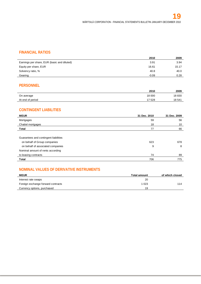# **FINANCIAL RATIOS**

|                                             | 2010    | 2009  |
|---------------------------------------------|---------|-------|
| Earnings per share, EUR (basic and diluted) | 3.91    | 3.94  |
| Equity per share, EUR                       | 16.61   | 15.17 |
| Solvency ratio, %                           | 40.8    | 40.0  |
| Gearing                                     | $-0.09$ | 0.28  |

# **PERSONNEL**

|                  | 2010   | 2009   |
|------------------|--------|--------|
| On average       | 18 000 | 18830  |
| At end of period | '7 528 | 18 541 |

# **CONTINGENT LIABILITIES**

| <b>MEUR</b>                           | 31 Dec. 2010 | 31 Dec. 2009 |
|---------------------------------------|--------------|--------------|
| Mortgages                             | 59           | 56           |
| Chattel mortgages                     | 18           | 10           |
| Total                                 | 77           | 66           |
|                                       |              |              |
| Guarantees and contingent liabilities |              |              |
| on behalf of Group companies          | 623          | 678          |
| on behalf of associated companies     | 9            | 8            |
| Nominal amount of rents according     |              |              |
| to leasing contracts                  | 74           | 89           |
| Total                                 | 706          | 775          |

# **NOMINAL VALUES OF DERIVATIVE INSTRUMENTS**

| <b>MEUR</b>                        | <b>Total amount</b> | of which closed |
|------------------------------------|---------------------|-----------------|
| Interest rate swaps                | 20                  |                 |
| Foreign exchange forward contracts | 1 0 2 3             | 114             |
| Currency options, purchased        | 19                  |                 |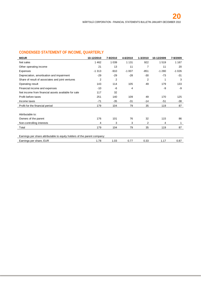# **CONDENSED STATEMENT OF INCOME, QUARTERLY**

| 10-12/2010                                                               | 7-9/2010 | 4-6/2010 | 1-3/2010       | 10-12/2009 | 7-9/2009 |  |
|--------------------------------------------------------------------------|----------|----------|----------------|------------|----------|--|
| 1462                                                                     | 1 0 3 9  | 1 1 3 1  | 922            | 1519       | 1 1 6 7  |  |
| 21                                                                       | 13       | 11       | $\overline{7}$ | 11         | 20       |  |
| $-1313$                                                                  | $-910$   | $-1007$  | $-851$         | $-1280$    | $-1026$  |  |
| $-29$                                                                    | $-29$    | $-28$    | $-30$          | $-73$      | -31      |  |
| 2                                                                        | 2        |          | $\overline{2}$ | 1          | 3        |  |
| 143                                                                      | 114      | 105      | 49             | 179        | 133      |  |
| $-10$                                                                    | -6       | 4        |                | -9         | -9       |  |
| 117                                                                      | 32       |          |                |            |          |  |
| 251                                                                      | 140      | 109      | 49             | 170        | 125      |  |
| $-71$                                                                    | $-35$    | $-31$    | $-14$          | $-51$      | $-38$    |  |
| 179                                                                      | 104      | 79       | 35             | 119        | 87       |  |
|                                                                          |          |          |                |            |          |  |
|                                                                          |          |          |                |            |          |  |
| 176                                                                      | 101      | 76       | 32             | 115        | 86       |  |
| 4                                                                        | 3        | 3        | 2              | 4          | 1        |  |
| 179                                                                      | 104      | 79       | 35             | 119        | 87       |  |
|                                                                          |          |          |                |            |          |  |
| Earnings per share attributable to equity holders of the parent company: |          |          |                |            |          |  |
| 1.78                                                                     | 1.03     | 0.77     | 0.33           | 1.17       | 0.87     |  |
|                                                                          |          |          |                |            |          |  |